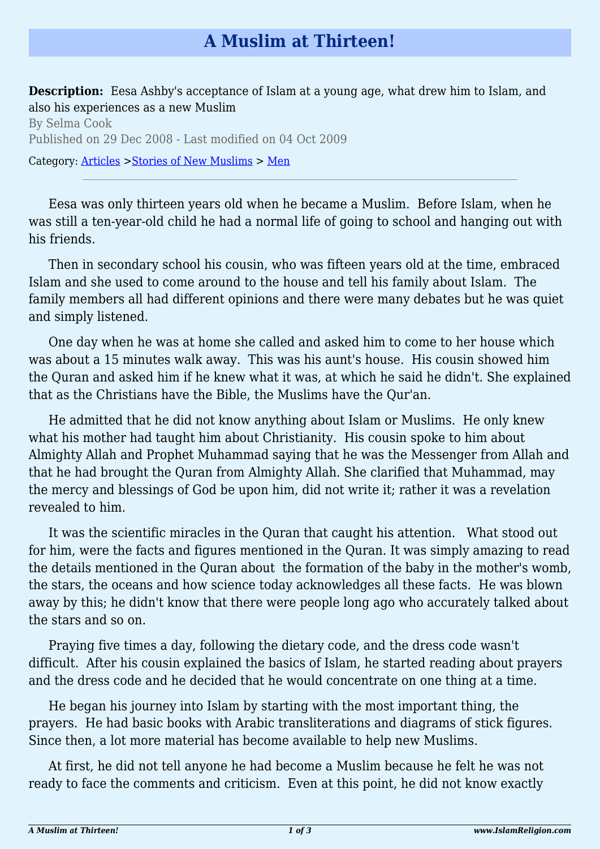## **A Muslim at Thirteen!**

**Description:** Eesa Ashby's acceptance of Islam at a young age, what drew him to Islam, and also his experiences as a new Muslim

By Selma Cook Published on 29 Dec 2008 - Last modified on 04 Oct 2009 Category: [Articles](http://www.islamreligion.com/articles/) >[Stories of New Muslims](http://www.islamreligion.com/category/63/) > [Men](http://www.islamreligion.com/category/64/)

Eesa was only thirteen years old when he became a Muslim. Before Islam, when he was still a ten-year-old child he had a normal life of going to school and hanging out with his friends.

Then in secondary school his cousin, who was fifteen years old at the time, embraced Islam and she used to come around to the house and tell his family about Islam. The family members all had different opinions and there were many debates but he was quiet and simply listened.

One day when he was at home she called and asked him to come to her house which was about a 15 minutes walk away. This was his aunt's house. His cousin showed him the Quran and asked him if he knew what it was, at which he said he didn't. She explained that as the Christians have the Bible, the Muslims have the Qur'an.

He admitted that he did not know anything about Islam or Muslims. He only knew what his mother had taught him about Christianity. His cousin spoke to him about Almighty Allah and Prophet Muhammad saying that he was the Messenger from Allah and that he had brought the Quran from Almighty Allah. She clarified that Muhammad, may the mercy and blessings of God be upon him, did not write it; rather it was a revelation revealed to him.

It was the scientific miracles in the Quran that caught his attention. What stood out for him, were the facts and figures mentioned in the Quran. It was simply amazing to read the details mentioned in the Quran about the formation of the baby in the mother's womb, the stars, the oceans and how science today acknowledges all these facts. He was blown away by this; he didn't know that there were people long ago who accurately talked about the stars and so on.

Praying five times a day, following the dietary code, and the dress code wasn't difficult. After his cousin explained the basics of Islam, he started reading about prayers and the dress code and he decided that he would concentrate on one thing at a time.

He began his journey into Islam by starting with the most important thing, the prayers. He had basic books with Arabic transliterations and diagrams of stick figures. Since then, a lot more material has become available to help new Muslims.

At first, he did not tell anyone he had become a Muslim because he felt he was not ready to face the comments and criticism. Even at this point, he did not know exactly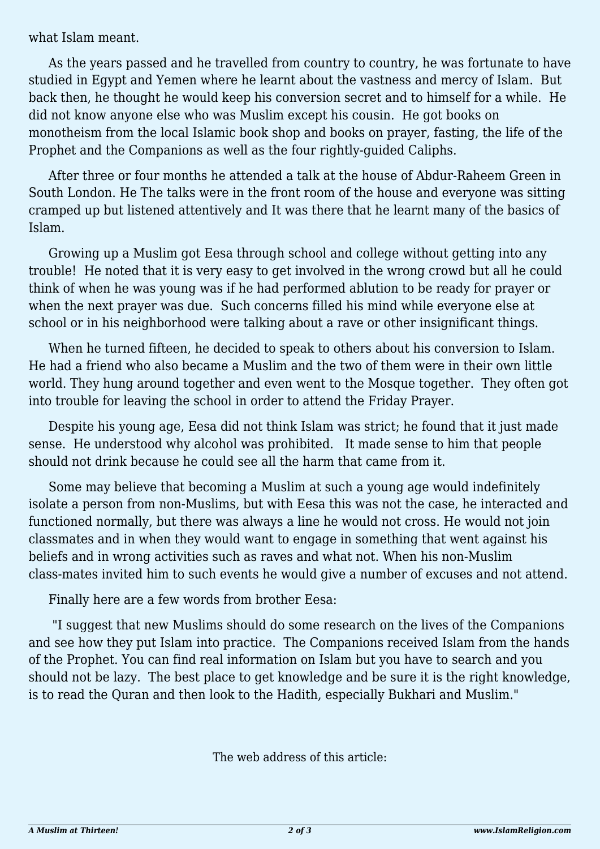what Islam meant.

As the years passed and he travelled from country to country, he was fortunate to have studied in Egypt and Yemen where he learnt about the vastness and mercy of Islam. But back then, he thought he would keep his conversion secret and to himself for a while. He did not know anyone else who was Muslim except his cousin. He got books on monotheism from the local Islamic book shop and books on prayer, fasting, the life of the Prophet and the Companions as well as the four rightly-guided Caliphs.

After three or four months he attended a talk at the house of Abdur-Raheem Green in South London. He The talks were in the front room of the house and everyone was sitting cramped up but listened attentively and It was there that he learnt many of the basics of Islam.

Growing up a Muslim got Eesa through school and college without getting into any trouble! He noted that it is very easy to get involved in the wrong crowd but all he could think of when he was young was if he had performed ablution to be ready for prayer or when the next prayer was due. Such concerns filled his mind while everyone else at school or in his neighborhood were talking about a rave or other insignificant things.

When he turned fifteen, he decided to speak to others about his conversion to Islam. He had a friend who also became a Muslim and the two of them were in their own little world. They hung around together and even went to the Mosque together. They often got into trouble for leaving the school in order to attend the Friday Prayer.

Despite his young age, Eesa did not think Islam was strict; he found that it just made sense. He understood why alcohol was prohibited. It made sense to him that people should not drink because he could see all the harm that came from it.

Some may believe that becoming a Muslim at such a young age would indefinitely isolate a person from non-Muslims, but with Eesa this was not the case, he interacted and functioned normally, but there was always a line he would not cross. He would not join classmates and in when they would want to engage in something that went against his beliefs and in wrong activities such as raves and what not. When his non-Muslim class-mates invited him to such events he would give a number of excuses and not attend.

Finally here are a few words from brother Eesa:

 "I suggest that new Muslims should do some research on the lives of the Companions and see how they put Islam into practice. The Companions received Islam from the hands of the Prophet. You can find real information on Islam but you have to search and you should not be lazy. The best place to get knowledge and be sure it is the right knowledge, is to read the Quran and then look to the Hadith, especially Bukhari and Muslim."

The web address of this article: